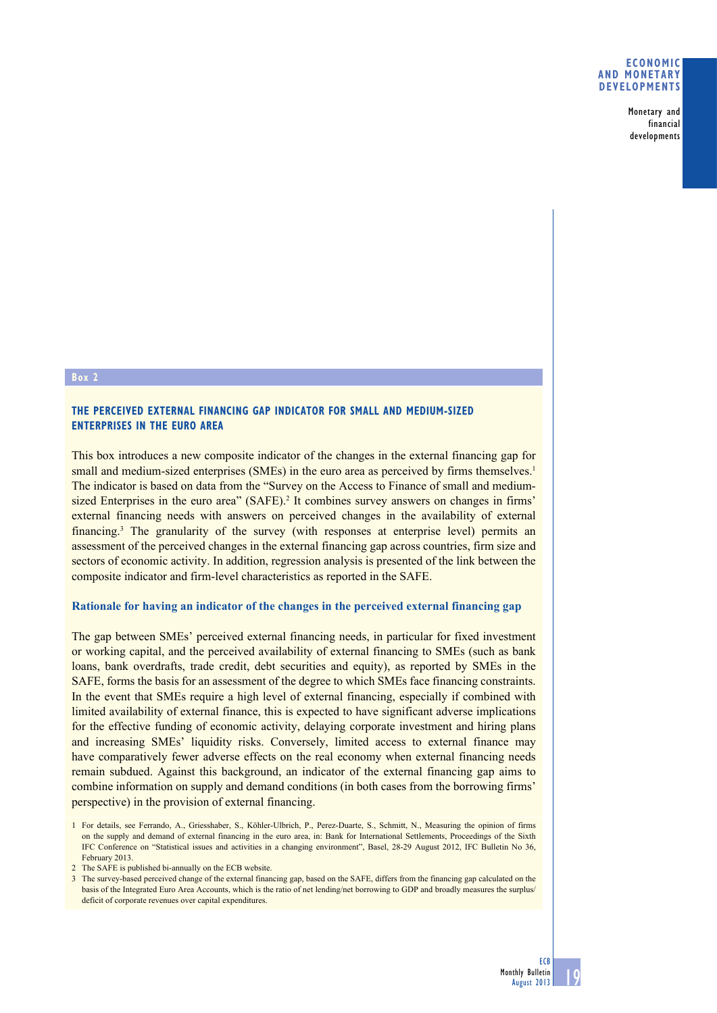#### **Economic and monetary developments**

Monetary and financial developments

#### **Box 2**

### **THE PERCEIVED EXTERNAL FINANCING GAP INDICATOR FOR SMALL AND MEDIUM-SIZED ENTERPRISES IN THE EURO AREA**

This box introduces a new composite indicator of the changes in the external financing gap for small and medium-sized enterprises (SMEs) in the euro area as perceived by firms themselves.<sup>1</sup> The indicator is based on data from the "Survey on the Access to Finance of small and mediumsized Enterprises in the euro area" (SAFE).<sup>2</sup> It combines survey answers on changes in firms' external financing needs with answers on perceived changes in the availability of external financing.<sup>3</sup> The granularity of the survey (with responses at enterprise level) permits an assessment of the perceived changes in the external financing gap across countries, firm size and sectors of economic activity. In addition, regression analysis is presented of the link between the composite indicator and firm-level characteristics as reported in the SAFE.

### **Rationale for having an indicator of the changes in the perceived external financing gap**

The gap between SMEs' perceived external financing needs, in particular for fixed investment or working capital, and the perceived availability of external financing to SMEs (such as bank loans, bank overdrafts, trade credit, debt securities and equity), as reported by SMEs in the SAFE, forms the basis for an assessment of the degree to which SMEs face financing constraints. In the event that SMEs require a high level of external financing, especially if combined with limited availability of external finance, this is expected to have significant adverse implications for the effective funding of economic activity, delaying corporate investment and hiring plans and increasing SMEs' liquidity risks. Conversely, limited access to external finance may have comparatively fewer adverse effects on the real economy when external financing needs remain subdued. Against this background, an indicator of the external financing gap aims to combine information on supply and demand conditions (in both cases from the borrowing firms' perspective) in the provision of external financing.

<sup>1</sup> For details, see Ferrando, A., Griesshaber, S., Köhler-Ulbrich, P., Perez-Duarte, S., Schmitt, N., Measuring the opinion of firms on the supply and demand of external financing in the euro area, in: Bank for International Settlements, Proceedings of the Sixth IFC Conference on "Statistical issues and activities in a changing environment", Basel, 28-29 August 2012, IFC Bulletin No 36, February 2013.

<sup>2</sup> The SAFE is published bi-annually on the ECB website.

<sup>3</sup> The survey-based perceived change of the external financing gap, based on the SAFE, differs from the financing gap calculated on the basis of the Integrated Euro Area Accounts, which is the ratio of net lending/net borrowing to GDP and broadly measures the surplus/ deficit of corporate revenues over capital expenditures.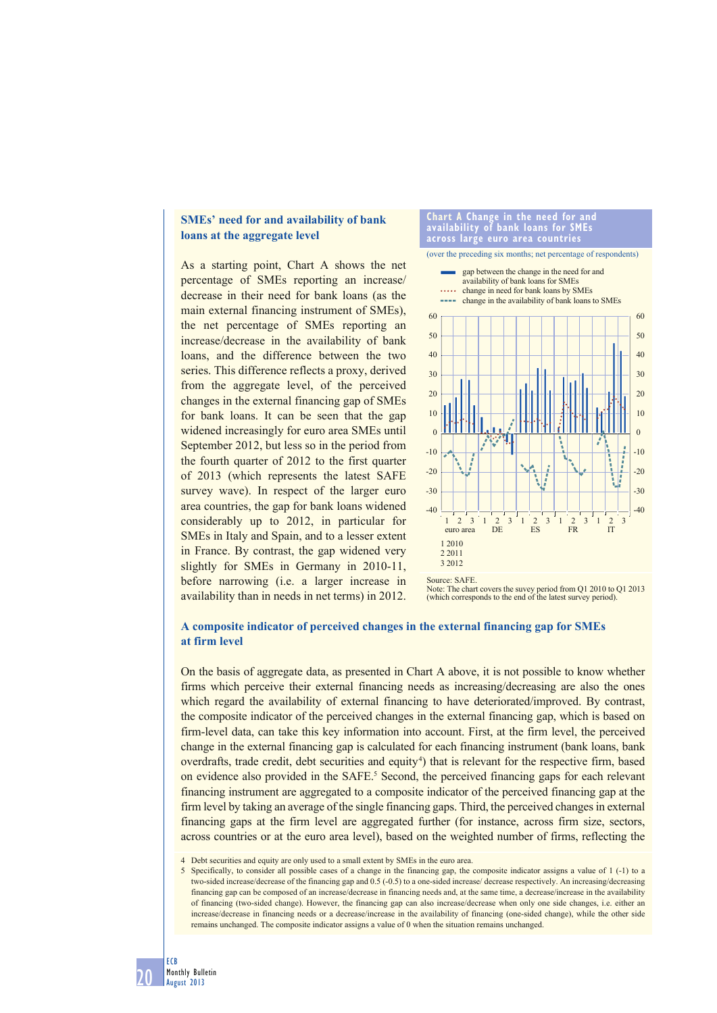# **SMEs' need for and availability of bank loans at the aggregate level**

As a starting point, Chart A shows the net percentage of SMEs reporting an increase/ decrease in their need for bank loans (as the main external financing instrument of SMEs), the net percentage of SMEs reporting an increase/decrease in the availability of bank loans, and the difference between the two series. This difference reflects a proxy, derived from the aggregate level, of the perceived changes in the external financing gap of SMEs for bank loans. It can be seen that the gap widened increasingly for euro area SMEs until September 2012, but less so in the period from the fourth quarter of 2012 to the first quarter of 2013 (which represents the latest SAFE survey wave). In respect of the larger euro area countries, the gap for bank loans widened considerably up to 2012, in particular for SMEs in Italy and Spain, and to a lesser extent in France. By contrast, the gap widened very slightly for SMEs in Germany in 2010-11, before narrowing (i.e. a larger increase in availability than in needs in net terms) in 2012.



Note: The chart covers the suvey period from Q1 2010 to Q1 2013 (which corresponds to the end of the latest survey period).

### **A composite indicator of perceived changes in the external financing gap for SMEs at firm level**

On the basis of aggregate data, as presented in Chart A above, it is not possible to know whether firms which perceive their external financing needs as increasing/decreasing are also the ones which regard the availability of external financing to have deteriorated/improved. By contrast, the composite indicator of the perceived changes in the external financing gap, which is based on firm-level data, can take this key information into account. First, at the firm level, the perceived change in the external financing gap is calculated for each financing instrument (bank loans, bank overdrafts, trade credit, debt securities and equity 4) that is relevant for the respective firm, based on evidence also provided in the SAFE.<sup>5</sup> Second, the perceived financing gaps for each relevant financing instrument are aggregated to a composite indicator of the perceived financing gap at the firm level by taking an average of the single financing gaps. Third, the perceived changes in external financing gaps at the firm level are aggregated further (for instance, across firm size, sectors, across countries or at the euro area level), based on the weighted number of firms, reflecting the

4 Debt securities and equity are only used to a small extent by SMEs in the euro area.

5 Specifically, to consider all possible cases of a change in the financing gap, the composite indicator assigns a value of 1 (-1) to a two-sided increase/decrease of the financing gap and 0.5 (-0.5) to a one-sided increase/ decrease respectively. An increasing/decreasing financing gap can be composed of an increase/decrease in financing needs and, at the same time, a decrease/increase in the availability of financing (two-sided change). However, the financing gap can also increase/decrease when only one side changes, i.e. either an increase/decrease in financing needs or a decrease/increase in the availability of financing (one-sided change), while the other side remains unchanged. The composite indicator assigns a value of 0 when the situation remains unchanged.

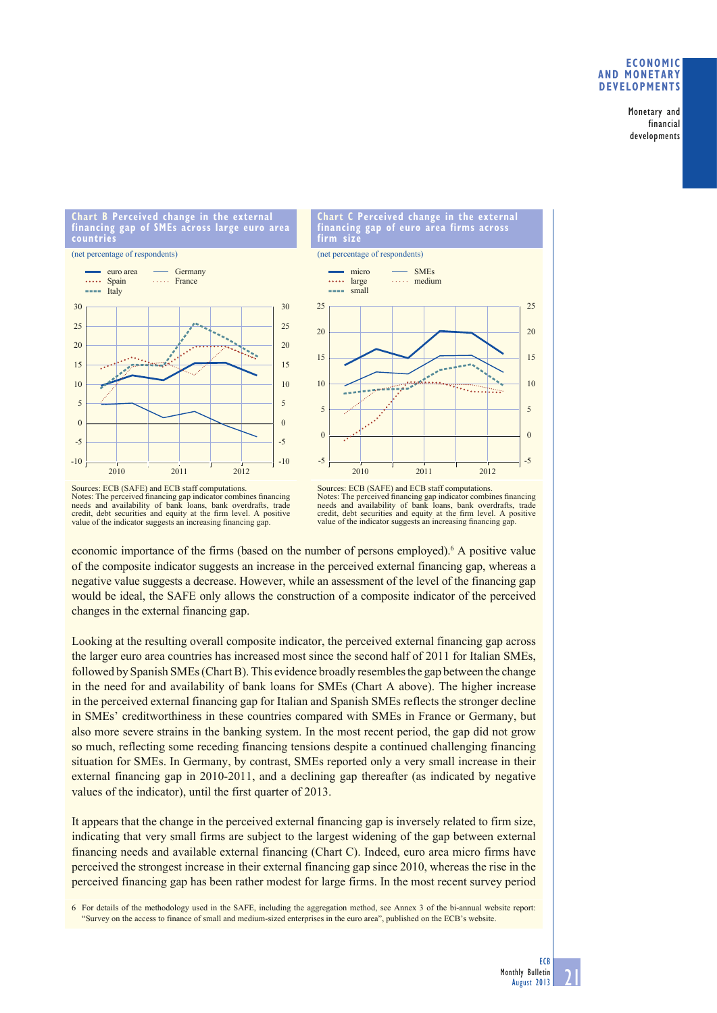### **ECONOMIC AND MONETARY DEVELOPMENTS**

Monetary and financial developments

**Chart B Perceived change in the external financing gap of SMEs across large euro area countries**







Sources: ECB (SAFE) and ECB staff computations.<br>Notes: The perceived financing gap indicator combines financing<br>needs and availability of bank loans, bank overdrafts, trade credit, debt securities and equity at the firm level. A positive value of the indicator suggests an increasing financing gap.

Sources: ECB (SAFE) and ECB staff computations. Notes: The perceived financing gap indicator combines financing needs and availability of bank loans, bank overdrafts, trade credit, debt securities and equity at the firm level. A positive value of the indicator suggests an increasing financing gap.

economic importance of the firms (based on the number of persons employed).<sup>6</sup> A positive value of the composite indicator suggests an increase in the perceived external financing gap, whereas a negative value suggests a decrease. However, while an assessment of the level of the financing gap would be ideal, the SAFE only allows the construction of a composite indicator of the perceived changes in the external financing gap.

Looking at the resulting overall composite indicator, the perceived external financing gap across the larger euro area countries has increased most since the second half of 2011 for Italian SMEs, followed by Spanish SMEs (Chart B). This evidence broadly resembles the gap between the change in the need for and availability of bank loans for SMEs (Chart A above). The higher increase in the perceived external financing gap for Italian and Spanish SMEs reflects the stronger decline in SMEs' creditworthiness in these countries compared with SMEs in France or Germany, but also more severe strains in the banking system. In the most recent period, the gap did not grow so much, reflecting some receding financing tensions despite a continued challenging financing situation for SMEs. In Germany, by contrast, SMEs reported only a very small increase in their external financing gap in 2010-2011, and a declining gap thereafter (as indicated by negative values of the indicator), until the first quarter of 2013.

It appears that the change in the perceived external financing gap is inversely related to firm size, indicating that very small firms are subject to the largest widening of the gap between external financing needs and available external financing (Chart C). Indeed, euro area micro firms have perceived the strongest increase in their external financing gap since 2010, whereas the rise in the perceived financing gap has been rather modest for large firms. In the most recent survey period

6 For details of the methodology used in the SAFE, including the aggregation method, see Annex 3 of the bi-annual website report: "Survey on the access to finance of small and medium-sized enterprises in the euro area", published on the ECB's website.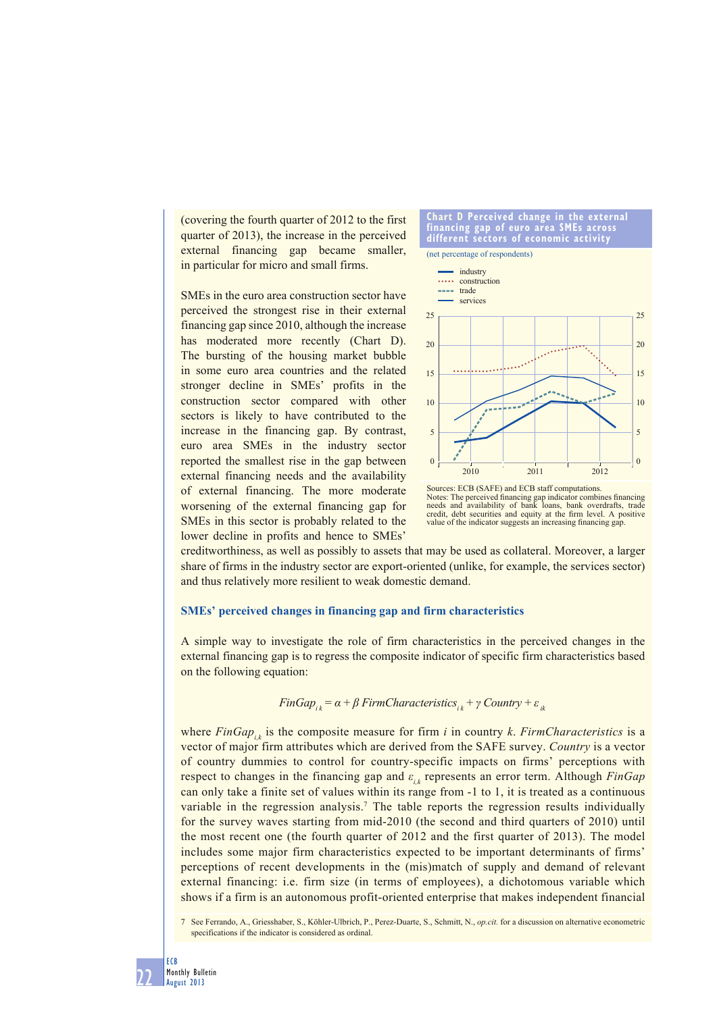(covering the fourth quarter of 2012 to the first quarter of 2013), the increase in the perceived external financing gap became smaller, in particular for micro and small firms.

SMEs in the euro area construction sector have perceived the strongest rise in their external financing gap since 2010, although the increase has moderated more recently (Chart D). The bursting of the housing market bubble in some euro area countries and the related stronger decline in SMEs' profits in the construction sector compared with other sectors is likely to have contributed to the increase in the financing gap. By contrast, euro area SMEs in the industry sector reported the smallest rise in the gap between external financing needs and the availability of external financing. The more moderate worsening of the external financing gap for SMEs in this sector is probably related to the lower decline in profits and hence to SMEs'

#### **Chart D Perceived change in the external financing gap of euro area SMEs across different sectors of economic activity**

(net percentage of respondents)



Sources: ECB (SAFE) and ECB staff computations.<br>Notes: The perceived financing gap indicator combines financing<br>needs and availability of bank loans, bank overdrafts, trade credit, debt securities and equity at the firm level. A positive value of the indicator suggests an increasing financing gap.

creditworthiness, as well as possibly to assets that may be used as collateral. Moreover, a larger share of firms in the industry sector are export-oriented (unlike, for example, the services sector) and thus relatively more resilient to weak domestic demand.

## **SMEs' perceived changes in financing gap and firm characteristics**

A simple way to investigate the role of firm characteristics in the perceived changes in the external financing gap is to regress the composite indicator of specific firm characteristics based on the following equation:

$$
FinGap_{ik} = \alpha + \beta\ FirmCharacteristics_{ik} + \gamma\ Country + \varepsilon_{ik}
$$

where  $FinGap$ , is the composite measure for firm *i* in country *k*. *FirmCharacteristics* is a vector of major firm attributes which are derived from the SAFE survey. *Country* is a vector of country dummies to control for country-specific impacts on firms' perceptions with respect to changes in the financing gap and  $ε<sub>i,k</sub>$  represents an error term. Although *FinGap* can only take a finite set of values within its range from -1 to 1, it is treated as a continuous variable in the regression analysis.<sup>7</sup> The table reports the regression results individually for the survey waves starting from mid-2010 (the second and third quarters of 2010) until the most recent one (the fourth quarter of 2012 and the first quarter of 2013). The model includes some major firm characteristics expected to be important determinants of firms' perceptions of recent developments in the (mis)match of supply and demand of relevant external financing: i.e. firm size (in terms of employees), a dichotomous variable which shows if a firm is an autonomous profit-oriented enterprise that makes independent financial

7 See Ferrando, A., Griesshaber, S., Köhler-Ulbrich, P., Perez-Duarte, S., Schmitt, N., *op.cit.* for a discussion on alternative econometric specifications if the indicator is considered as ordinal.

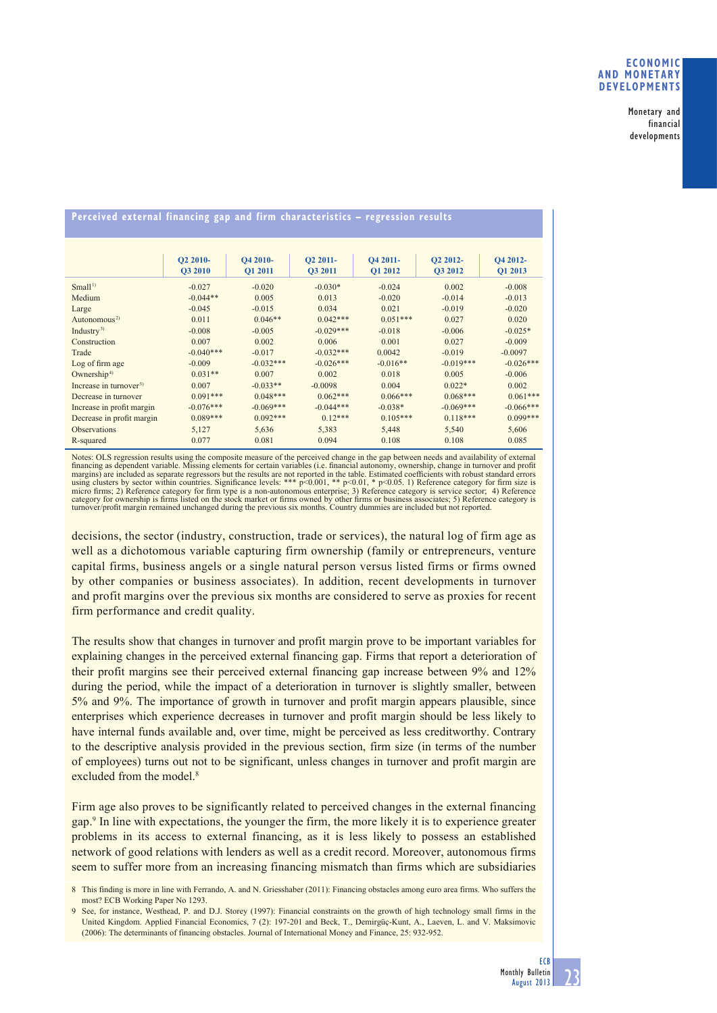### **ECONOMIC AND MONETARY DEVELOPMENTS**

Monetary and financial developments

# **Perceived external financing gap and firm characteristics – regression results**

|                                    | <b>O2 2010-</b> | O4 2010-       | O2 2011-    | O4 2011-   | O2 2012-    | O4 2012-       |
|------------------------------------|-----------------|----------------|-------------|------------|-------------|----------------|
|                                    | <b>O3 2010</b>  | <b>O1 2011</b> | O3 2011     | O1 2012    | O3 2012     | <b>O1 2013</b> |
| Small <sup>1</sup>                 | $-0.027$        | $-0.020$       | $-0.030*$   | $-0.024$   | 0.002       | $-0.008$       |
| Medium                             | $-0.044**$      | 0.005          | 0.013       | $-0.020$   | $-0.014$    | $-0.013$       |
| Large                              | $-0.045$        | $-0.015$       | 0.034       | 0.021      | $-0.019$    | $-0.020$       |
| Autonomous <sup>2)</sup>           | 0.011           | $0.046**$      | $0.042***$  | $0.051***$ | 0.027       | 0.020          |
| Industry <sup>3)</sup>             | $-0.008$        | $-0.005$       | $-0.029***$ | $-0.018$   | $-0.006$    | $-0.025*$      |
| Construction                       | 0.007           | 0.002          | 0.006       | 0.001      | 0.027       | $-0.009$       |
| Trade                              | $-0.040***$     | $-0.017$       | $-0.032***$ | 0.0042     | $-0.019$    | $-0.0097$      |
| Log of firm age                    | $-0.009$        | $-0.032***$    | $-0.026***$ | $-0.016**$ | $-0.019***$ | $-0.026***$    |
| Ownership <sup>4)</sup>            | $0.031**$       | 0.007          | 0.002       | 0.018      | 0.005       | $-0.006$       |
| Increase in turnover <sup>5)</sup> | 0.007           | $-0.033**$     | $-0.0098$   | 0.004      | $0.022*$    | 0.002          |
| Decrease in turnover               | $0.091***$      | $0.048***$     | $0.062***$  | $0.066***$ | $0.068***$  | $0.061***$     |
| Increase in profit margin          | $-0.076***$     | $-0.069***$    | $-0.044***$ | $-0.038*$  | $-0.069***$ | $-0.066***$    |
| Decrease in profit margin          | $0.089***$      | $0.092***$     | $0.12***$   | $0.105***$ | $0.118***$  | $0.099***$     |
| <b>Observations</b>                | 5,127           | 5,636          | 5,383       | 5,448      | 5,540       | 5,606          |
| R-squared                          | 0.077           | 0.081          | 0.094       | 0.108      | 0.108       | 0.085          |

Notes: OLS regression results using the composite measure of the perceived change in the gap between needs and availability of external financing as dependent variable. Missing elements for certain variables (i.e. financia financing as dependent variable. Missing elements for certain variables (i.e. financial autonomy, ownership, change in turnover and profit<br>margins) are included as separate regressors but the results are not reported in th micro firms; 2) Reference category for firm type is a non-autonomous enterprise; 3) Reference category is service sector; 4) Reference category for ownership is firms listed on the stock market or firms owned by other firms or business associates; 5) Reference category is<br>turnover/profit margin remained unchanged during the previous six months. Country du

decisions, the sector (industry, construction, trade or services), the natural log of firm age as well as a dichotomous variable capturing firm ownership (family or entrepreneurs, venture capital firms, business angels or a single natural person versus listed firms or firms owned by other companies or business associates). In addition, recent developments in turnover and profit margins over the previous six months are considered to serve as proxies for recent firm performance and credit quality.

The results show that changes in turnover and profit margin prove to be important variables for explaining changes in the perceived external financing gap. Firms that report a deterioration of their profit margins see their perceived external financing gap increase between 9% and 12% during the period, while the impact of a deterioration in turnover is slightly smaller, between 5% and 9%. The importance of growth in turnover and profit margin appears plausible, since enterprises which experience decreases in turnover and profit margin should be less likely to have internal funds available and, over time, might be perceived as less creditworthy. Contrary to the descriptive analysis provided in the previous section, firm size (in terms of the number of employees) turns out not to be significant, unless changes in turnover and profit margin are excluded from the model.<sup>8</sup>

Firm age also proves to be significantly related to perceived changes in the external financing gap.9 In line with expectations, the younger the firm, the more likely it is to experience greater problems in its access to external financing, as it is less likely to possess an established network of good relations with lenders as well as a credit record. Moreover, autonomous firms seem to suffer more from an increasing financing mismatch than firms which are subsidiaries

<sup>8</sup> This finding is more in line with Ferrando, A. and N. Griesshaber (2011): Financing obstacles among euro area firms. Who suffers the most? ECB Working Paper No 1293.

<sup>9</sup> See, for instance, Westhead, P. and D.J. Storey (1997): Financial constraints on the growth of high technology small firms in the United Kingdom. Applied Financial Economics, 7 (2): 197-201 and Beck, T., Demirgüç-Kunt, A., Laeven, L. and V. Maksimovic (2006): The determinants of financing obstacles. Journal of International Money and Finance, 25: 932-952.